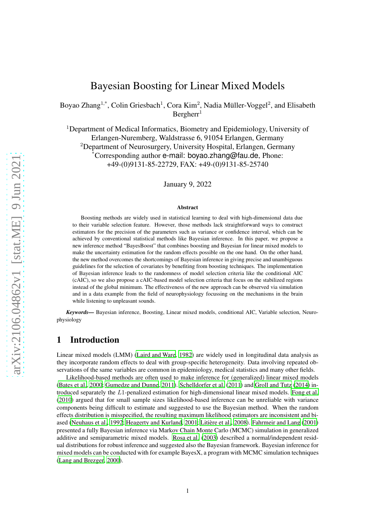# Bayesian Boosting for Linear Mixed Models

Boyao Zhang<sup>1,\*</sup>, Colin Griesbach<sup>1</sup>, Cora Kim<sup>2</sup>, Nadia Müller-Voggel<sup>2</sup>, and Elisabeth  $Bercher<sup>1</sup>$ 

<sup>1</sup>Department of Medical Informatics, Biometry and Epidemiology, University of Erlangen-Nuremberg, Waldstrasse 6, 91054 Erlangen, Germany <sup>2</sup>Department of Neurosurgery, University Hospital, Erlangen, Germany \*Corresponding author e-mail: boyao.zhang@fau.de, Phone: +49-(0)9131-85-22729, FAX: +49-(0)9131-85-25740

January 9, 2022

#### Abstract

Boosting methods are widely used in statistical learning to deal with high-dimensional data due to their variable selection feature. However, those methods lack straightforward ways to construct estimators for the precision of the parameters such as variance or confidence interval, which can be achieved by conventional statistical methods like Bayesian inference. In this paper, we propose a new inference method "BayesBoost" that combines boosting and Bayesian for linear mixed models to make the uncertainty estimation for the random effects possible on the one hand. On the other hand, the new method overcomes the shortcomings of Bayesian inference in giving precise and unambiguous guidelines for the selection of covariates by benefiting from boosting techniques. The implementation of Bayesian inference leads to the randomness of model selection criteria like the conditional AIC (cAIC), so we also propose a cAIC-based model selection criteria that focus on the stabilized regions instead of the global minimum. The effectiveness of the new approach can be observed via simulation and in a data example from the field of neurophysiology focussing on the mechanisms in the brain while listening to unpleasant sounds.

*Keywords—* Bayesian inference, Boosting, Linear mixed models, conditional AIC, Variable selection, Neurophysiology

# 1 Introduction

Linear mixed models (LMM) [\(Laird and Ware, 1982\)](#page-17-0) are widely used in longitudinal data analysis as they incorporate random effects to deal with group-specific heterogeneity. Data involving repeated observations of the same variables are common in epidemiology, medical statistics and many other fields.

Likelihood-based methods are often used to make inference for (generalized) linear mixed models [\(Bates et al.](#page-16-0), [2000](#page-16-0); [Gumedze and Dunne, 2011\)](#page-17-1). [Schelldorfer](#page-18-0) et al. [\(2011\)](#page-18-0) and [Groll and Tutz](#page-17-2) [\(2014\)](#page-17-2) introduced separately the L1-penalized estimation for high-dimensional linear mixed models. [Fong et al.](#page-17-3) [\(2010\)](#page-17-3) argued that for small sample sizes likelihood-based inference can be unreliable with variance components being difficult to estimate and suggested to use the Bayesian method. When the random effects distribution is misspecified, the resulting maximum likelihood estimators are inconsistent and bi-ased [\(Neuhaus et al.](#page-17-4), [1992;](#page-17-4) [Heagerty and Kurland, 2001](#page-17-5); Litière et al., 2008). [Fahrmeir and Lang \(2001\)](#page-17-7) presented a fully Bayesian inference via Markov Chain Monte Carlo (MCMC) simulation in generalized additive and semiparametric mixed models. [Rosa et al.](#page-17-8) [\(2003\)](#page-17-8) described a normal/independent residual distributions for robust inference and suggested also the Bayesian framework. Bayesian inference for mixed models can be conducted with for example BayesX, a program with MCMC simulation techniques [\(Lang and Brezger, 2000\)](#page-17-9).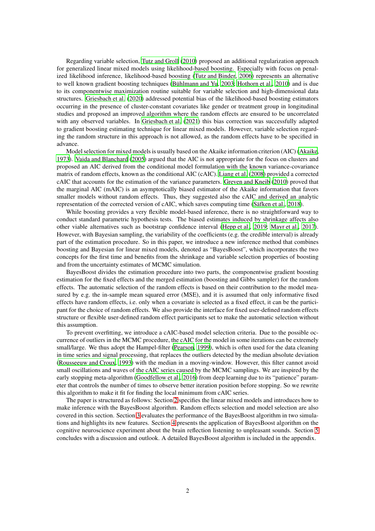Regarding variable selection, [Tutz and Groll](#page-18-1) [\(2010\)](#page-18-1) proposed an additional regularization approach for generalized linear mixed models using likelihood-based boosting. Especially with focus on penalized likelihood inference, likelihood-based boosting [\(Tutz and Binder, 2006\)](#page-18-2) represents an alternative to well known gradient boosting techniques (Bühlmann and Yu, [2003;](#page-16-1) [Hothorn et al., 2010](#page-17-10)) and is due to its componentwise maximization routine suitable for variable selection and high-dimensional data structures. [Griesbach et al. \(2020\)](#page-17-11) addressed potential bias of the likelihood-based boosting estimators occurring in the presence of cluster-constant covariates like gender or treatment group in longitudinal studies and proposed an improved algorithm where the random effects are ensured to be uncorrelated with any observed variables. In [Griesbach et al. \(2021\)](#page-17-12) this bias correction was successfully adapted to gradient boosting estimating technique for linear mixed models. However, variable selection regarding the random structure in this approach is not allowed, as the random effects have to be specified in advance.

Model selection for mixed models is usually based on the Akaike information criterion (AIC) [\(Akaike,](#page-16-2) [1973\)](#page-16-2). [Vaida and Blanchard \(2005\)](#page-18-3) argued that the AIC is not appropriate for the focus on clusters and proposed an AIC derived from the conditional model formulation with the known variance-covariance matrix of random effects, known as the conditional AIC (cAIC). [Liang et al. \(2008](#page-17-13)) provided a corrected cAIC that accounts for the estimation of the variance parameters. [Greven and Kneib \(2010](#page-17-14)) proved that the marginal AIC (mAIC) is an asymptotically biased estimator of the Akaike information that favors smaller models without random effects. Thus, they suggested also the cAIC and derived an analytic representation of the corrected version of cAIC, which saves computing time (Säfken et al., 2018).

While boosting provides a very flexible model-based inference, there is no straightforward way to conduct standard parametric hypothesis tests. The biased estimates induced by shrinkage affects also other viable alternatives such as bootstrap confidence interval [\(Hepp et al.](#page-17-15), [2019;](#page-17-15) [Mayr et al.](#page-17-16), [2017\)](#page-17-16). However, with Bayesian sampling, the variability of the coefficients (e.g. the credible interval) is already part of the estimation procedure. So in this paper, we introduce a new inference method that combines boosting and Bayesian for linear mixed models, denoted as "BayesBoost", which incorporates the two concepts for the first time and benefits from the shrinkage and variable selection properties of boosting and from the uncertainty estimates of MCMC simulation.

BayesBoost divides the estimation procedure into two parts, the componentwise gradient boosting estimation for the fixed effects and the merged estimation (boosting and Gibbs sampler) for the random effects. The automatic selection of the random effects is based on their contribution to the model measured by e.g. the in-sample mean squared error (MSE), and it is assumed that only informative fixed effects have random effects, i.e. only when a covariate is selected as a fixed effect, it can be the participant for the choice of random effects. We also provide the interface for fixed user-defined random effects structure or flexible user-defined random effect participants set to make the automatic selection without this assumption.

To prevent overfitting, we introduce a cAIC-based model selection criteria. Due to the possible occurrence of outliers in the MCMC procedure, the cAIC for the model in some iterations can be extremely small/large. We thus adopt the Hampel-filter [\(Pearson, 1999\)](#page-17-17), which is often used for the data cleaning in time series and signal processing, that replaces the outliers detected by the median absolute deviation [\(Rousseeuw and Croux, 1993\)](#page-18-5) with the median in a moving-window. However, this filter cannot avoid small oscillations and waves of the cAIC series caused by the MCMC samplings. We are inspired by the early stopping meta-algorithm [\(Goodfellow et al.](#page-17-18), [2016](#page-17-18)) from deep learning due to its "patience" parameter that controls the number of times to observe better iteration position before stopping. So we rewrite this algorithm to make it fit for finding the local minimum from cAIC series.

The paper is structured as follows: Section [2](#page-2-0) specifies the linear mixed models and introduces how to make inference with the BayesBoost algorithm. Random effects selection and model selection are also covered in this section. Section [3](#page-7-0) evaluates the performance of the BayesBoost algorithm in two simulations and highlights its new features. Section [4](#page-13-0) presents the application of BayesBoost algorithm on the cognitive neuroscience experiment about the brain reflection listening to unpleasant sounds. Section [5](#page-15-0) concludes with a discussion and outlook. A detailed BayesBoost algorithm is included in the appendix.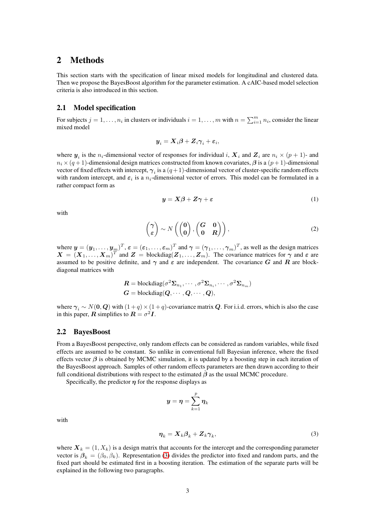# <span id="page-2-0"></span>2 Methods

This section starts with the specification of linear mixed models for longitudinal and clustered data. Then we propose the BayesBoost algorithm for the parameter estimation. A cAIC-based model selection criteria is also introduced in this section.

## 2.1 Model specification

For subjects  $j = 1, ..., n_i$  in clusters or individuals  $i = 1, ..., m$  with  $n = \sum_{i=1}^{m} n_i$ , consider the linear mixed model

$$
\boldsymbol{y}_i = \boldsymbol{X}_i \boldsymbol{\beta} + \boldsymbol{Z}_i \boldsymbol{\gamma}_i + \boldsymbol{\varepsilon}_i,
$$

where  $y_i$  is the  $n_i$ -dimensional vector of responses for individual i,  $X_i$  and  $Z_i$  are  $n_i \times (p+1)$ - and  $n_i \times (q + 1)$ -dimensional design matrices constructed from known covariates,  $\beta$  is a  $(p + 1)$ -dimensional vector of fixed effects with intercept,  $\gamma_i$  is a  $(q+1)$ -dimensional vector of cluster-specific random effects with random intercept, and  $\varepsilon_i$  is a  $n_i$ -dimensional vector of errors. This model can be formulated in a rather compact form as

$$
y = X\beta + Z\gamma + \varepsilon \tag{1}
$$

with

$$
\begin{pmatrix} \gamma \\ \varepsilon \end{pmatrix} \sim N \left( \begin{pmatrix} \mathbf{0} \\ \mathbf{0} \end{pmatrix}, \begin{pmatrix} \mathbf{G} & \mathbf{0} \\ \mathbf{0} & \mathbf{R} \end{pmatrix} \right), \tag{2}
$$

where  $\mathbf{y}=(y_1,\ldots,y_m)^T$ ,  $\boldsymbol{\varepsilon}=(\varepsilon_1,\ldots,\varepsilon_m)^T$  and  $\boldsymbol{\gamma}=(\boldsymbol{\gamma}_1,\ldots,\boldsymbol{\gamma}_m)^T$ , as well as the design matrices  $X = (X_1, \ldots, X_m)^T$  and  $Z = \text{blockdiag}(Z_1, \ldots, Z_m)$ . The covariance matrices for  $\gamma$  and  $\varepsilon$  are assumed to be positive definite, and  $\gamma$  and  $\varepsilon$  are independent. The covariance G and R are blockdiagonal matrices with

$$
R = \text{blockdiag}(\sigma^2 \Sigma_{n_1}, \cdots, \sigma^2 \Sigma_{n_i}, \cdots, \sigma^2 \Sigma_{n_m})
$$
  

$$
G = \text{blockdiag}(Q, \cdots, Q, \cdots, Q),
$$

where  $\gamma_i \sim N(0, Q)$  with  $(1 + q) \times (1 + q)$ -covariance matrix Q. For i.i.d. errors, which is also the case in this paper,  $\boldsymbol{R}$  simplifies to  $\boldsymbol{R} = \sigma^2 \boldsymbol{I}$ .

### 2.2 BayesBoost

From a BayesBoost perspective, only random effects can be considered as random variables, while fixed effects are assumed to be constant. So unlike in conventional full Bayesian inference, where the fixed effects vector  $\beta$  is obtained by MCMC simulation, it is updated by a boosting step in each iteration of the BayesBoost approach. Samples of other random effects parameters are then drawn according to their full conditional distributions with respect to the estimated  $\beta$  as the usual MCMC procedure.

Specifically, the predictor  $\eta$  for the response displays as

<span id="page-2-1"></span>
$$
\pmb{y}=\pmb{\eta}=\sum_{k=1}^p\pmb{\eta}_k
$$

with

$$
\boldsymbol{\eta}_k = \boldsymbol{X}_k \boldsymbol{\beta}_k + \boldsymbol{Z}_k \boldsymbol{\gamma}_k,\tag{3}
$$

where  $X_k = (1, X_k)$  is a design matrix that accounts for the intercept and the corresponding parameter vector is  $\beta_k = (\beta_0, \beta_k)$ . Representation [\(3\)](#page-2-1) divides the predictor into fixed and random parts, and the fixed part should be estimated first in a boosting iteration. The estimation of the separate parts will be explained in the following two paragraphs.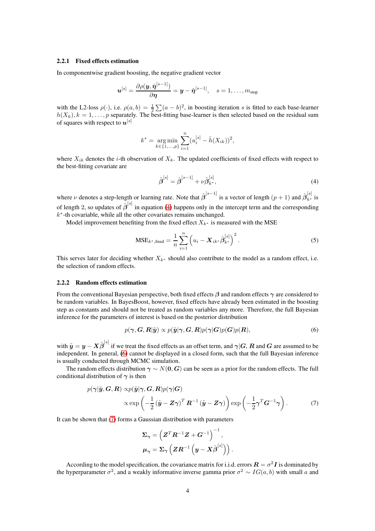### 2.2.1 Fixed effects estimation

In componentwise gradient boosting, the negative gradient vector

$$
\boldsymbol{u}^{[s]} = \frac{\partial \rho(\boldsymbol{y}, \hat{\boldsymbol{\eta}}^{[s-1]})}{\partial \boldsymbol{\eta}} = \boldsymbol{y} - \hat{\boldsymbol{\eta}}^{[s-1]}, \quad s = 1, \dots, m_{\text{stop}}
$$

with the L2-loss  $\rho(\cdot)$ , i.e.  $\rho(a, b) = \frac{1}{2} \sum (a - b)^2$ , in boosting iteration s is fitted to each base-learner  $h(X_k)$ ,  $k = 1, \ldots, p$  separately. The best-fitting base-learner is then selected based on the residual sum of squares with respect to  $\bm{u}^{[s]}$ 

$$
k^* = \underset{k \in \{1, \ldots, p\}}{\arg \min} \sum_{i=1}^n (u_i^{[s]} - \hat{h}(X_{ik}))^2,
$$

where  $X_{ik}$  denotes the *i*-th observation of  $X_k$ . The updated coefficients of fixed effects with respect to the best-fitting covariate are

<span id="page-3-3"></span><span id="page-3-0"></span>
$$
\hat{\boldsymbol{\beta}}^{[s]} = \hat{\boldsymbol{\beta}}^{[s-1]} + \nu \hat{\boldsymbol{\beta}}^{[s]}_{k^*},\tag{4}
$$

where  $\nu$  denotes a step-length or learning rate. Note that  $\hat{\beta}^{[s-1]}$  is a vector of length  $(p+1)$  and  $\hat{\beta}_{k^*}^{[s]}$  is of length 2, so updates of  $\hat{\beta}^{[s]}$  in equation [\(4\)](#page-3-0) happens only in the intercept term and the corresponding  $k^*$ -th covariable, while all the other covariates remains unchanged.

Model improvement benefiting from the fixed effect  $X_{k^*}$  is measured with the MSE

$$
MSE_{k^*, \text{fixed}} = \frac{1}{n} \sum_{i=1}^n \left( u_i - X_{ik^*} \hat{\beta}_{k^*}^{[s]} \right)^2.
$$
 (5)

This serves later for deciding whether  $X_{k^*}$  should also contribute to the model as a random effect, i.e. the selection of random effects.

#### 2.2.2 Random effects estimation

From the conventional Bayesian perspective, both fixed effects  $\beta$  and random effects  $\gamma$  are considered to be random variables. In BayesBoost, however, fixed effects have already been estimated in the boosting step as constants and should not be treated as random variables any more. Therefore, the full Bayesian inference for the parameters of interest is based on the posterior distribution

<span id="page-3-1"></span>
$$
p(\gamma, G, R|\tilde{\mathbf{y}}) \propto p(\tilde{\mathbf{y}}|\gamma, G, R)p(\gamma|G)p(G)p(R), \tag{6}
$$

with  $\tilde{\bm{y}} = \bm{y} - \bm{X}\hat{\bm{\beta}}^{[s]}$  if we treat the fixed effects as an offset term, and  $\bm{\gamma}|\bm{G},\bm{R}$  and  $\bm{G}$  are assumed to be independent. In general, [\(6\)](#page-3-1) cannot be displayed in a closed form, such that the full Bayesian inference is usually conducted through MCMC simulation.

The random effects distribution  $\gamma \sim N(0, G)$  can be seen as a prior for the random effects. The full conditional distribution of  $\gamma$  is then

$$
p(\boldsymbol{\gamma}|\tilde{\boldsymbol{y}},\boldsymbol{G},\boldsymbol{R}) \propto p(\tilde{\boldsymbol{y}}|\boldsymbol{\gamma},\boldsymbol{G},\boldsymbol{R})p(\boldsymbol{\gamma}|\boldsymbol{G})
$$
  
 
$$
\propto \exp\left(-\frac{1}{2}(\tilde{\boldsymbol{y}}-\boldsymbol{Z}\boldsymbol{\gamma})^{T}\boldsymbol{R}^{-1}(\tilde{\boldsymbol{y}}-\boldsymbol{Z}\boldsymbol{\gamma})\right) \exp\left(-\frac{1}{2}\boldsymbol{\gamma}^{T}\boldsymbol{G}^{-1}\boldsymbol{\gamma}\right).
$$
 (7)

It can be shown that [\(7\)](#page-3-2) forms a Gaussian distribution with parameters

<span id="page-3-2"></span>
$$
\begin{aligned} &\boldsymbol{\Sigma}_{\boldsymbol{\gamma}} = \left( \boldsymbol{Z}^T \boldsymbol{R}^{-1} \boldsymbol{Z} + \boldsymbol{G}^{-1} \right)^{-1}, \\ &\boldsymbol{\mu}_{\boldsymbol{\gamma}} = \boldsymbol{\Sigma}_{\boldsymbol{\gamma}} \left( \boldsymbol{Z} \boldsymbol{R}^{-1} \left( \boldsymbol{y} - \boldsymbol{X} \hat{\boldsymbol{\beta}}^{[s]} \right) \right). \end{aligned}
$$

According to the model specification, the covariance matrix for i.i.d. errors  $\mathbf{R} = \sigma^2 \mathbf{I}$  is dominated by the hyperparameter  $\sigma^2$ , and a weakly informative inverse gamma prior  $\sigma^2 \sim IG(a, b)$  with small a and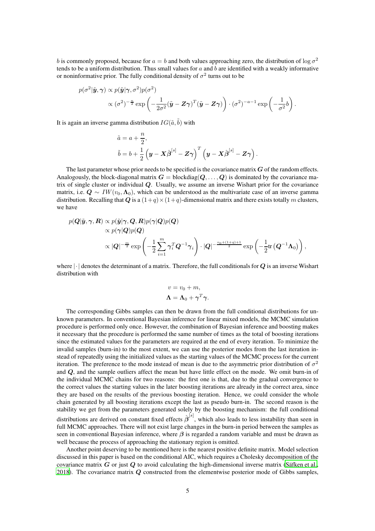b is commonly proposed, because for  $a = b$  and both values approaching zero, the distribution of  $\log \sigma^2$ tends to be a uniform distribution. Thus small values for  $a$  and  $b$  are identified with a weakly informative or noninformative prior. The fully conditional density of  $\sigma^2$  turns out to be

$$
p(\sigma^2 | \tilde{\mathbf{y}}, \boldsymbol{\gamma}) \propto p(\tilde{\mathbf{y}} | \boldsymbol{\gamma}, \sigma^2) p(\sigma^2)
$$
  
\$\propto (\sigma^2)^{-\frac{n}{2}} \exp\left(-\frac{1}{2\sigma^2} (\tilde{\mathbf{y}} - \mathbf{Z}\boldsymbol{\gamma})^T (\tilde{\mathbf{y}} - \mathbf{Z}\boldsymbol{\gamma})\right) \cdot (\sigma^2)^{-a-1} \exp\left(-\frac{1}{\sigma^2}b\right).

It is again an inverse gamma distribution  $IG(\tilde{a}, \tilde{b})$  with

$$
\begin{aligned} &\tilde{a}=a+\frac{n}{2},\\ &\tilde{b}=b+\frac{1}{2}\left(\boldsymbol{y}-\boldsymbol{X}\hat{\boldsymbol{\beta}}^{[s]}-\boldsymbol{Z}\boldsymbol{\gamma}\right)^T\left(\boldsymbol{y}-\boldsymbol{X}\hat{\boldsymbol{\beta}}^{[s]}-\boldsymbol{Z}\boldsymbol{\gamma}\right). \end{aligned}
$$

The last parameter whose prior needs to be specified is the covariance matrix  $\boldsymbol{G}$  of the random effects. Analogously, the block-diagonal matrix  $G = \text{blockdiag}(Q, \ldots, Q)$  is dominated by the covariance matrix of single cluster or individual Q. Usually, we assume an inverse Wishart prior for the covariance matrix, i.e.  $\mathbf{Q} \sim IW(v_0, \Lambda_0)$ , which can be understood as the multivariate case of an inverse gamma distribution. Recalling that Q is a  $(1+q) \times (1+q)$ -dimensional matrix and there exists totally m clusters, we have

$$
p(\mathbf{Q}|\tilde{\mathbf{y}}, \boldsymbol{\gamma}, \mathbf{R}) \propto p(\tilde{\mathbf{y}}|\boldsymbol{\gamma}, \mathbf{Q}, \mathbf{R})p(\boldsymbol{\gamma}|\mathbf{Q})p(\mathbf{Q})
$$
  
\$\propto \mathbf{Q}|\boldsymbol{\gamma} = \exp\left(-\frac{1}{2}\sum\_{i=1}^{m} \boldsymbol{\gamma}\_i^T \mathbf{Q}^{-1} \boldsymbol{\gamma}\_i\right) \cdot |\mathbf{Q}|^{-\frac{v\_0 + (1+q)+1}{2}} \exp\left(-\frac{1}{2}\text{tr}\left(\mathbf{Q}^{-1}\boldsymbol{\Lambda}\_0\right)\right),

where  $|\cdot|$  denotes the determinant of a matrix. Therefore, the full conditionals for  $Q$  is an inverse Wishart distribution with

$$
v = v_0 + m,
$$
  

$$
\Lambda = \Lambda_0 + \gamma^T \gamma.
$$

The corresponding Gibbs samples can then be drawn from the full conditional distributions for unknown parameters. In conventional Bayesian inference for linear mixed models, the MCMC simulation procedure is performed only once. However, the combination of Bayesian inference and boosting makes it necessary that the procedure is performed the same number of times as the total of boosting iterations since the estimated values for the parameters are required at the end of every iteration. To minimize the invalid samples (burn-in) to the most extent, we can use the posterior modes from the last iteration instead of repeatedly using the initialized values as the starting values of the MCMC process for the current iteration. The preference to the mode instead of mean is due to the asymmetric prior distribution of  $\sigma^2$ and Q, and the sample outliers affect the mean but have little effect on the mode. We omit burn-in of the individual MCMC chains for two reasons: the first one is that, due to the gradual convergence to the correct values the starting values in the later boosting iterations are already in the correct area, since they are based on the results of the previous boosting iteration. Hence, we could consider the whole chain generated by all boosting iterations except the last as pseudo burn-in. The second reason is the stability we get from the parameters generated solely by the boosting mechanism: the full conditional distributions are derived on constant fixed effects  $\hat{\beta}^{[s]}$ , which also leads to less instability than seen in full MCMC approaches. There will not exist large changes in the burn-in period between the samples as seen in conventional Bayesian inference, where  $\beta$  is regarded a random variable and must be drawn as well because the process of approaching the stationary region is omitted.

Another point deserving to be mentioned here is the nearest positive definite matrix. Model selection discussed in this paper is based on the conditional AIC, which requires a Cholesky decomposition of the covariance matrix  $G$  or just  $Q$  to avoid calculating the high-dimensional inverse matrix (Säfken et al., [2018\)](#page-18-4). The covariance matrix  $Q$  constructed from the elementwise posterior mode of Gibbs samples,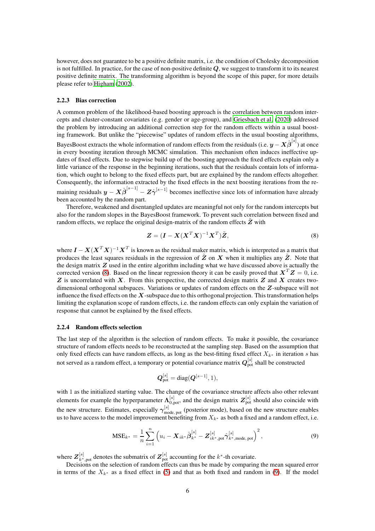however, does not guarantee to be a positive definite matrix, i.e. the condition of Cholesky decomposition is not fulfilled. In practice, for the case of non-positive definite  $Q$ , we suggest to transform it to its nearest positive definite matrix. The transforming algorithm is beyond the scope of this paper, for more details please refer to [Higham](#page-17-19) [\(2002\)](#page-17-19).

#### 2.2.3 Bias correction

A common problem of the likelihood-based boosting approach is the correlation between random intercepts and cluster-constant covariates (e.g. gender or age-group), and [Griesbach et al.](#page-17-11) [\(2020\)](#page-17-11) addressed the problem by introducing an additional correction step for the random effects within a usual boosting framework. But unlike the "piecewise" updates of random effects in the usual boosting algorithms, BayesBoost extracts the whole information of random effects from the residuals (i.e.  $y-X\hat{\bm{\beta}}^{[s]}$ ) at once in every boosting iteration through MCMC simulation. This mechanism often induces ineffective updates of fixed effects. Due to stepwise build up of the boosting approach the fixed effects explain only a little variance of the response in the beginning iterations, such that the residuals contain lots of information, which ought to belong to the fixed effects part, but are explained by the random effects altogether. Consequently, the information extracted by the fixed effects in the next boosting iterations from the remaining residuals  $y - X\hat{\beta}^{[s-1]} - Z\hat{\gamma}^{[s-1]}$  becomes ineffective since lots of information have already been accounted by the random part.

Therefore, weakened and disentangled updates are meaningful not only for the random intercepts but also for the random slopes in the BayesBoost framework. To prevent such correlation between fixed and random effects, we replace the original design-matrix of the random effects  $Z$  with

<span id="page-5-0"></span>
$$
\mathbf{Z} = (\mathbf{I} - \mathbf{X}(\mathbf{X}^T \mathbf{X})^{-1} \mathbf{X}^T) \tilde{\mathbf{Z}},
$$
\n(8)

where  $I - X(X^T X)^{-1} X^T$  is known as the residual maker matrix, which is interpreted as a matrix that produces the least squares residuals in the regression of  $\tilde{Z}$  on X when it multiplies any  $\tilde{Z}$ . Note that the design matrix  $Z$  used in the entire algorithm including what we have discussed above is actually the corrected version [\(8\)](#page-5-0). Based on the linear regression theory it can be easily proved that  $X^T Z = 0$ , i.e.  $Z$  is uncorrelated with  $X$ . From this perspective, the corrected design matrix  $Z$  and  $X$  creates twodimensional orthogonal subspaces. Variations or updates of random effects on the Z-subspace will not influence the fixed effects on the  $X$ -subspace due to this orthogonal projection. This transformation helps limiting the explanation scope of random effects, i.e. the random effects can only explain the variation of response that cannot be explained by the fixed effects.

### 2.2.4 Random effects selection

The last step of the algorithm is the selection of random effects. To make it possible, the covariance structure of random effects needs to be reconstructed at the sampling step. Based on the assumption that only fixed effects can have random effects, as long as the best-fitting fixed effect  $X_{k^*}$  in iteration s has not served as a random effect, a temporary or potential covariance matrix  $\bm{Q}_\mathrm{pot}^{[s]}$  shall be constructed

<span id="page-5-1"></span>
$$
\boldsymbol{Q}_{\mathrm{pot}}^{[s]} = \mathrm{diag}(\boldsymbol{Q}^{[s-1]},1),
$$

with 1 as the initialized starting value. The change of the covariance structure affects also other relevant elements for example the hyperparameter  $\Lambda_{0,pot}^{[s]}$ , and the design matrix  $Z_{pot}^{[s]}$  should also coincide with the new structure. Estimates, especially  $\gamma_{\rm mode, pot}^{[s]}$  (posterior mode), based on the new structure enables us to have access to the model improvement benefiting from  $X_{k^*}$  as both a fixed and a random effect, i.e.

$$
MSE_{k^*} = \frac{1}{n} \sum_{i=1}^n \left( u_i - \mathbf{X}_{ik^*} \hat{\boldsymbol{\beta}}_{k^*}^{[s]} - \mathbf{Z}_{ik^*,\text{pot}}^{[s]} \hat{\boldsymbol{\gamma}}_{k^*,\text{mode, pot}}^{[s]} \right)^2, \tag{9}
$$

where  $Z_{k^*,\text{pot}}^{[s]}$  denotes the submatrix of  $Z_{\text{pot}}^{[s]}$  accounting for the  $k^*$ -th covariate.

Decisions on the selection of random effects can thus be made by comparing the mean squared error in terms of the  $X_{k^*}$  as a fixed effect in [\(5\)](#page-3-3) and that as both fixed and random in [\(9\)](#page-5-1). If the model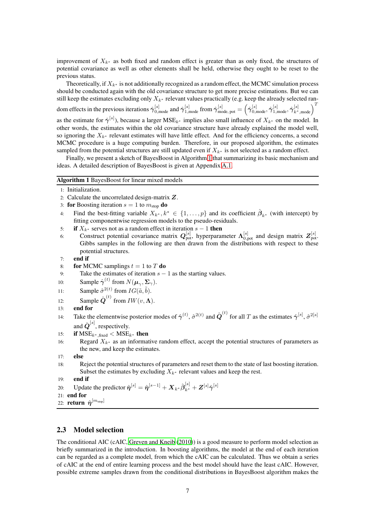improvement of  $X_{k^*}$  as both fixed and random effect is greater than as only fixed, the structures of potential covariance as well as other elements shall be held, otherwise they ought to be reset to the previous status.

Theoretically, if  $X_{k^*}$  is not additionally recognized as a random effect, the MCMC simulation process should be conducted again with the old covariance structure to get more precise estimations. But we can still keep the estimates excluding only  $X_{k^*}$  relevant values practically (e.g. keep the already selected random effects in the previous iterations  $\hat{\gamma}_{0,\text{mode}}^{[s]}$  and  $\hat{\gamma}_{1,\text{mode}}^{[s]}$  from  $\hat{\gamma}_{\text{mode, pot}}^{[s]} = \left(\hat{\gamma}_{0,\text{mode}}^{[s]},\hat{\gamma}_{1,\text{mode}}^{[s]},\hat{\gamma}_{k^*,\text{mode}}^{[s]}\right)^T$ as the estimate for  $\hat{\gamma}^{[s]}$ ), because a larger MSE<sub>k\*</sub> implies also small influence of  $X_{k^*}$  on the model. In other words, the estimates within the old covariance structure have already explained the model well, so ignoring the  $X_{k^*}$  relevant estimates will have little effect. And for the efficiency concerns, a second MCMC procedure is a huge computing burden. Therefore, in our proposed algorithm, the estimates sampled from the potential structures are still updated even if  $X_{k^*}$  is not selected as a random effect.

Finally, we present a sketch of BayesBoost in Algorithm [1](#page-6-0) that summarizing its basic mechanism and ideas. A detailed description of BayesBoost is given at Appendix [A.1.](#page-18-6)

### <span id="page-6-0"></span>Algorithm 1 BayesBoost for linear mixed models

- 1: Initialization.
- 2: Calculate the uncorrelated design-matrix Z.
- 3: for Boosting iteration  $s = 1$  to  $m_{\text{stop}}$  do
- 4: Find the best-fitting variable  $X_{k^*}, k^* \in \{1, ..., p\}$  and its coefficient  $\hat{\beta}_{k^*}$  (with intercept) by fitting componentwise regression models to the pseudo-residuals.
- <span id="page-6-1"></span>5: if  $X_{k^*}$  serves not as a random effect in iteration  $s - 1$  then
- 6: Construct potential covariance matrix  $Q_{\text{pot}}^{[s]}$ , hyperparameter  $\Lambda_{0,\text{pot}}^{[s]}$  and design matrix  $Z_{\text{pot}}^{[s]}$ . Gibbs samples in the following are then drawn from the distributions with respect to these potential structures.

```
7: end if
```
- 8: for MCMC samplings  $t = 1$  to T do
- 9: Take the estimates of iteration  $s 1$  as the starting values.
- 10: Sample  $\hat{\gamma}^{(t)}$  from  $N(\mu_{\gamma}, \Sigma_{\gamma})$ .
- 11: Sample  $\hat{\sigma}^{2(t)}$  from  $IG(\tilde{a}, \tilde{b})$ .
- 12: Sample  $\hat{\boldsymbol{Q}}^{(t)}$  from  $IW(v, \boldsymbol{\Lambda})$ .

```
13: end for
```

```
14: Take the elementwise posterior modes of \hat{\gamma}^{(t)}, \hat{\sigma}^{2(t)} and \hat{Q}^{(t)} for all T as the estimates \hat{\gamma}^{[s]}, \hat{\sigma}^{2[s]}and \hat{\mathbf{Q}}^{[s]}, respectively.
```
- 15: if  $\text{MSE}_{k^*,\text{fixed}} < \text{MSE}_{k^*}$  then
- 16: Regard  $X_{k^*}$  as an informative random effect, accept the potential structures of parameters as the new, and keep the estimates.
- 17: else
- 18: Reject the potential structures of parameters and reset them to the state of last boosting iteration. Subset the estimates by excluding  $X_{k^*}$  relevant values and keep the rest.
- 19: end if

```
20: Update the predictor \hat{\boldsymbol{\eta}}^{[s]}=\hat{\boldsymbol{\eta}}^{[s-1]}+\boldsymbol{X}_{k^*}\hat{\boldsymbol{\beta}}^{[s]}_{k^*}+\boldsymbol{Z}^{[s]}\hat{\boldsymbol{\gamma}}^{[s]}
```
- 21: end for
- 22:  $\mathbf{return}\;\hat{\bm{\eta}}^{[m_\text{stop}]}$

### 2.3 Model selection

The conditional AIC (cAIC, [Greven and Kneib \(2010\)](#page-17-14)) is a good measure to perform model selection as briefly summarized in the introduction. In boosting algorithms, the model at the end of each iteration can be regarded as a complete model, from which the cAIC can be calculated. Thus we obtain a series of cAIC at the end of entire learning process and the best model should have the least cAIC. However, possible extreme samples drawn from the conditional distributions in BayesBoost algorithm makes the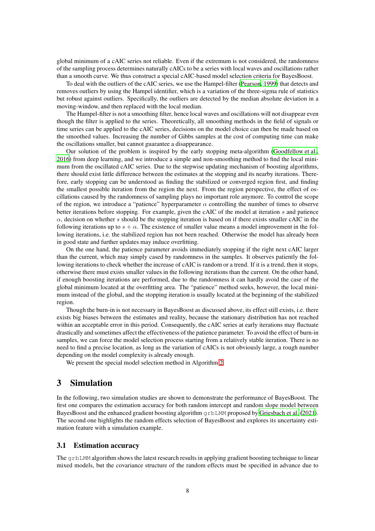global minimum of a cAIC series not reliable. Even if the extremum is not considered, the randomness of the sampling process determines naturally cAICs to be a series with local waves and oscillations rather than a smooth curve. We thus construct a special cAIC-based model selection criteria for BayesBoost.

To deal with the outliers of the cAIC series, we use the Hampel-filter [\(Pearson, 1999](#page-17-17)) that detects and removes outliers by using the Hampel identifier, which is a variation of the three-sigma rule of statistics but robust against outliers. Specifically, the outliers are detected by the median absolute deviation in a moving-window, and then replaced with the local median.

The Hampel-filter is not a smoothing filter, hence local waves and oscillations will not disappear even though the filter is applied to the series. Theoretically, all smoothing methods in the field of signals or time series can be applied to the cAIC series, decisions on the model choice can then be made based on the smoothed values. Increasing the number of Gibbs samples at the cost of computing time can make the oscillations smaller, but cannot guarantee a disappearance.

Our solution of the problem is inspired by the early stopping meta-algorithm [\(Goodfellow et al.,](#page-17-18) [2016\)](#page-17-18) from deep learning, and we introduce a simple and non-smoothing method to find the local minimum from the oscillated cAIC series. Due to the stepwise updating mechanism of boosting algorithms, there should exist little difference between the estimates at the stopping and its nearby iterations. Therefore, early stopping can be understood as finding the stabilized or converged region first, and finding the smallest possible iteration from the region the next. From the region perspective, the effect of oscillations caused by the randomness of sampling plays no important role anymore. To control the scope of the region, we introduce a "patience" hyperparameter  $\alpha$  controlling the number of times to observe better iterations before stopping. For example, given the cAIC of the model at iteration s and patience  $\alpha$ , decision on whether s should be the stopping iteration is based on if there exists smaller cAIC in the following iterations up to  $s + \alpha$ . The existence of smaller value means a model improvement in the following iterations, i.e. the stabilized region has not been reached. Otherwise the model has already been in good state and further updates may induce overfitting.

On the one hand, the patience parameter avoids immediately stopping if the right next cAIC larger than the current, which may simply cased by randomness in the samples. It observes patiently the following iterations to check whether the increase of cAIC is random or a trend. If it is a trend, then it stops, otherwise there must exists smaller values in the following iterations than the current. On the other hand, if enough boosting iterations are performed, due to the randomness it can hardly avoid the case of the global minimum located at the overfitting area. The "patience" method seeks, however, the local minimum instead of the global, and the stopping iteration is usually located at the beginning of the stabilized region.

Though the burn-in is not necessary in BayesBoost as discussed above, its effect still exists, i.e. there exists big biases between the estimates and reality, because the stationary distribution has not reached within an acceptable error in this period. Consequently, the cAIC series at early iterations may fluctuate drastically and sometimes affect the effectiveness of the patience parameter. To avoid the effect of burn-in samples, we can force the model selection process starting from a relatively stable iteration. There is no need to find a precise location, as long as the variation of cAICs is not obviously large, a rough number depending on the model complexity is already enough.

We present the special model selection method in Algorithm [2.](#page-8-0)

# <span id="page-7-0"></span>3 Simulation

In the following, two simulation studies are shown to demonstrate the performance of BayesBoost. The first one compares the estimation accuracy for both random intercept and random slope model between BayesBoost and the enhanced gradient boosting algorithm  $g$ rbLMM proposed by [Griesbach et al.](#page-17-12) [\(2021\)](#page-17-12). The second one highlights the random effects selection of BayesBoost and explores its uncertainty estimation feature with a simulation example.

## 3.1 Estimation accuracy

The grbLMM algorithm shows the latest research results in applying gradient boosting technique to linear mixed models, but the covariance structure of the random effects must be specified in advance due to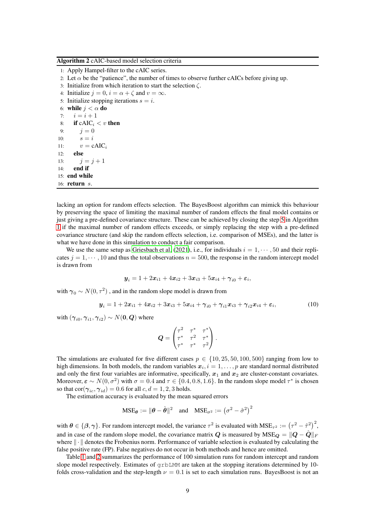<span id="page-8-0"></span>

1: Apply Hampel-filter to the cAIC series. 2: Let  $\alpha$  be the "patience", the number of times to observe further cAICs before giving up. 3: Initialize from which iteration to start the selection  $\zeta$ . 4: Initialize  $j = 0$ ,  $i = \alpha + \zeta$  and  $v = \infty$ . 5: Initialize stopping iterations  $s = i$ . 6: while  $j < \alpha$  do 7:  $i = i + 1$ 8: if  $cAIC_i < v$  then 9:  $j = 0$ 10:  $s = i$ 11:  $v = cAIC_i$ 12: else 13:  $j = j + 1$  $14:$  end if 15: end while 16: return s.

lacking an option for random effects selection. The BayesBoost algorithm can mimick this behaviour by preserving the space of limiting the maximal number of random effects the final model contains or just giving a pre-defined covariance structure. These can be achieved by closing the step [5](#page-6-1) in Algorithm [1](#page-6-0) if the maximal number of random effects exceeds, or simply replacing the step with a pre-defined covariance structure (and skip the random effects selection, i.e. comparison of MSEs), and the latter is what we have done in this simulation to conduct a fair comparison.

We use the same setup as [Griesbach et al.](#page-17-12) [\(2021\)](#page-17-12), i.e., for individuals  $i = 1, \dots, 50$  and their replicates  $j = 1, \dots, 10$  and thus the total observations  $n = 500$ , the response in the random intercept model is drawn from

$$
\mathbf{y}_i = 1 + 2\mathbf{x}_{i1} + 4\mathbf{x}_{i2} + 3\mathbf{x}_{i3} + 5\mathbf{x}_{i4} + \gamma_{i0} + \varepsilon_i,
$$

with  $\gamma_0 \sim N(0,\tau^2)$  , and in the random slope model is drawn from

$$
\mathbf{y}_{i} = 1 + 2x_{i1} + 4x_{i2} + 3x_{i3} + 5x_{i4} + \gamma_{i0} + \gamma_{i1}x_{i3} + \gamma_{i2}x_{i4} + \varepsilon_{i}, \tag{10}
$$

with  $(\boldsymbol{\gamma}_{i0},\boldsymbol{\gamma}_{i1},\boldsymbol{\gamma}_{i2}) \sim N(\mathbf{0},\boldsymbol{Q})$  where

<span id="page-8-1"></span>
$$
\boldsymbol{Q} = \begin{pmatrix} \tau^2 & \tau^* & \tau^* \\ \tau^* & \tau^2 & \tau^* \\ \tau^* & \tau^* & \tau^2 \end{pmatrix}.
$$

The simulations are evaluated for five different cases  $p \in \{10, 25, 50, 100, 500\}$  ranging from low to high dimensions. In both models, the random variables  $x_i$ ,  $i = 1, \ldots, p$  are standard normal distributed and only the first four variables are informative, specifically,  $x_1$  and  $x_2$  are cluster-constant covariates. Moreover,  $\varepsilon \sim N(0, \sigma^2)$  with  $\sigma = 0.4$  and  $\tau \in \{0.4, 0.8, 1.6\}$ . In the random slope model  $\tau^*$  is chosen so that  $\text{cor}(\gamma_{ic}, \gamma_{id}) = 0.6$  for all  $c, d = 1, 2, 3$  holds.

The estimation accuracy is evaluated by the mean squared errors

$$
\text{MSE}_{\theta} := \|\theta - \hat{\theta}\|^2 \quad \text{and} \quad \text{MSE}_{\sigma^2} := (\sigma^2 - \hat{\sigma}^2)^2
$$

with  $\theta \in \{\beta, \gamma\}$ . For random intercept model, the variance  $\tau^2$  is evaluated with  $MSE_{\tau^2} := (\tau^2 - \hat{\tau}^2)^2$ , and in case of the random slope model, the covariance matrix Q is measured by  $MSE_Q = ||Q - \hat{Q}||_F$ where  $\|\cdot\|$  denotes the Frobenius norm. Performance of variable selection is evaluated by calculating the false positive rate (FP). False negatives do not occur in both methods and hence are omitted.

Table [1](#page-9-0) and [2](#page-10-0) summarizes the performance of 100 simulation runs for random intercept and random slope model respectively. Estimates of grbLMM are taken at the stopping iterations determined by 10 folds cross-validation and the step-length  $\nu = 0.1$  is set to each simulation runs. BayesBoost is not an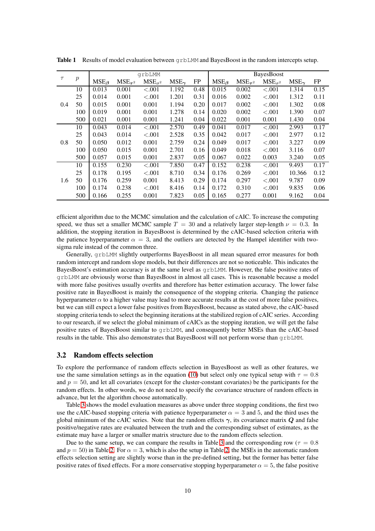|        | $\boldsymbol{p}$ | grbLMM        |                |                  |                |      |               |                | <b>BayesBoost</b> |                |      |  |  |
|--------|------------------|---------------|----------------|------------------|----------------|------|---------------|----------------|-------------------|----------------|------|--|--|
| $\tau$ |                  | $MSE_{\beta}$ | $MSE_{\tau^2}$ | $MSE_{\sigma^2}$ | $MSE_{\gamma}$ | FP   | $MSE_{\beta}$ | $MSE_{\tau^2}$ | $MSE_{\sigma^2}$  | $MSE_{\gamma}$ | FP   |  |  |
| 0.4    | 10               | 0.013         | 0.001          | < .001           | 1.192          | 0.48 | 0.015         | 0.002          | < .001            | 1.314          | 0.15 |  |  |
|        | 25               | 0.014         | 0.001          | < .001           | 1.201          | 0.31 | 0.016         | 0.002          | < .001            | 1.312          | 0.11 |  |  |
|        | 50               | 0.015         | 0.001          | 0.001            | 1.194          | 0.20 | 0.017         | 0.002          | < .001            | 1.302          | 0.08 |  |  |
|        | 100              | 0.019         | 0.001          | 0.001            | 1.278          | 0.14 | 0.020         | 0.002          | < .001            | 1.390          | 0.07 |  |  |
|        | 500              | 0.021         | 0.001          | 0.001            | 1.241          | 0.04 | 0.022         | 0.001          | 0.001             | 1.430          | 0.04 |  |  |
|        | 10               | 0.043         | 0.014          | < .001           | 2.570          | 0.49 | 0.041         | 0.017          | < .001            | 2.993          | 0.17 |  |  |
|        | 25               | 0.043         | 0.014          | < .001           | 2.528          | 0.35 | 0.042         | 0.017          | < .001            | 2.977          | 0.12 |  |  |
| 0.8    | 50               | 0.050         | 0.012          | 0.001            | 2.759          | 0.24 | 0.049         | 0.017          | < .001            | 3.227          | 0.09 |  |  |
|        | 100              | 0.050         | 0.015          | 0.001            | 2.701          | 0.16 | 0.049         | 0.018          | < .001            | 3.116          | 0.07 |  |  |
|        | 500              | 0.057         | 0.015          | 0.001            | 2.837          | 0.05 | 0.067         | 0.022          | 0.003             | 3.240          | 0.05 |  |  |
|        | 10               | 0.155         | 0.230          | ${<}.001$        | 7.850          | 0.47 | 0.152         | 0.238          | < 0.001           | 9.493          | 0.17 |  |  |
| 1.6    | 25               | 0.178         | 0.195          | < .001           | 8.710          | 0.34 | 0.176         | 0.269          | < .001            | 10.366         | 0.12 |  |  |
|        | 50               | 0.176         | 0.259          | 0.001            | 8.413          | 0.29 | 0.174         | 0.297          | < .001            | 9.787          | 0.09 |  |  |
|        | 100              | 0.174         | 0.238          | ${<}.001$        | 8.416          | 0.14 | 0.172         | 0.310          | < .001            | 9.835          | 0.06 |  |  |
|        | 500              | 0.166         | 0.255          | 0.001            | 7.823          | 0.05 | 0.165         | 0.277          | 0.001             | 9.162          | 0.04 |  |  |

<span id="page-9-0"></span>**Table 1** Results of model evaluation between  $\alpha$ rbLMM and BayesBoost in the random intercepts setup.

efficient algorithm due to the MCMC simulation and the calculation of cAIC. To increase the computing speed, we thus set a smaller MCMC sample  $T = 30$  and a relatively larger step-length  $\nu = 0.3$ . In addition, the stopping iteration in BayesBoost is determined by the cAIC-based selection criteria with the patience hyperparameter  $\alpha = 3$ , and the outliers are detected by the Hampel identifier with twosigma rule instead of the common three.

Generally, grbLMM slightly outperforms BayesBoost in all mean squared error measures for both random intercept and random slope models, but their differences are not so noticeable. This indicates the BayesBoost's estimation accuracy is at the same level as grbLMM. However, the false positive rates of grbLMM are obviously worse than BayesBoost in almost all cases. This is reasonable because a model with more false positives usually overfits and therefore has better estimation accuracy. The lower false positive rate in BayesBoost is mainly the consequence of the stopping criteria. Changing the patience hyperparameter  $\alpha$  to a higher value may lead to more accurate results at the cost of more false positives, but we can still expect a lower false positives from BayesBoost, because as stated above, the cAIC-based stopping criteria tends to select the beginning iterations at the stabilized region of cAIC series. According to our research, if we select the global minimum of cAICs as the stopping iteration, we will get the false positive rates of BayesBoost similar to grbLMM, and consequently better MSEs than the cAIC-based results in the table. This also demonstrates that BayesBoost will not perform worse than grbLMM.

## 3.2 Random effects selection

To explore the performance of random effects selection in BayesBoost as well as other features, we use the same simulation settings as in the equation [\(10\)](#page-8-1) but select only one typical setup with  $\tau = 0.8$ and  $p = 50$ , and let all covariates (except for the cluster-constant covariates) be the participants for the random effects. In other words, we do not need to specify the covariance structure of random effects in advance, but let the algorithm choose automatically.

Table [3](#page-10-1) shows the model evaluation measures as above under three stopping conditions, the first two use the cAIC-based stopping criteria with patience hyperparameter  $\alpha = 3$  and 5, and the third uses the global minimum of the cAIC series. Note that the random effects  $\gamma$ , its covariance matrix Q and false positive/negative rates are evaluated between the truth and the corresponding subset of estimates, as the estimate may have a larger or smaller matrix structure due to the random effects selection.

Due to the same setup, we can compare the results in Table [3](#page-10-1) and the corresponding row ( $\tau = 0.8$ ) and  $p = 50$ ) in Table [2.](#page-10-0) For  $\alpha = 3$ , which is also the setup in Table [2,](#page-10-0) the MSEs in the automatic random effects selection setting are slightly worse than in the pre-defined setting, but the former has better false positive rates of fixed effects. For a more conservative stopping hyperparameter  $\alpha = 5$ , the false positive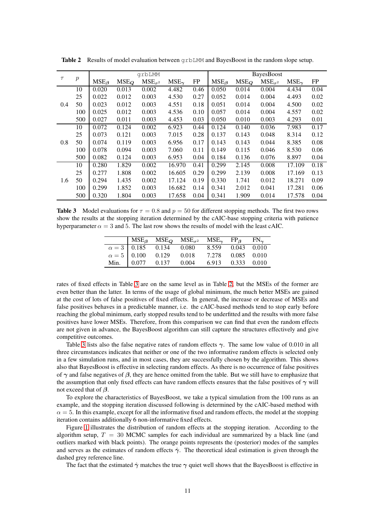|        |                  | grbLMM        |         |                  |                |      | <b>BayesBoost</b> |         |                  |                |           |
|--------|------------------|---------------|---------|------------------|----------------|------|-------------------|---------|------------------|----------------|-----------|
| $\tau$ | $\boldsymbol{p}$ | $MSE_{\beta}$ | $MSE_Q$ | $MSE_{\sigma^2}$ | $MSE_{\gamma}$ | FP   | $MSE_{\beta}$     | $MSE_O$ | $MSE_{\sigma^2}$ | $MSE_{\gamma}$ | <b>FP</b> |
| 0.4    | 10               | 0.020         | 0.013   | 0.002            | 4.482          | 0.46 | 0.050             | 0.014   | 0.004            | 4.434          | 0.04      |
|        | 25               | 0.022         | 0.012   | 0.003            | 4.530          | 0.27 | 0.052             | 0.014   | 0.004            | 4.493          | 0.02      |
|        | 50               | 0.023         | 0.012   | 0.003            | 4.551          | 0.18 | 0.051             | 0.014   | 0.004            | 4.500          | 0.02      |
|        | 100              | 0.025         | 0.012   | 0.003            | 4.536          | 0.10 | 0.057             | 0.014   | 0.004            | 4.557          | 0.02      |
|        | 500              | 0.027         | 0.011   | 0.003            | 4.453          | 0.03 | 0.050             | 0.010   | 0.003            | 4.293          | 0.01      |
|        | 10               | 0.072         | 0.124   | 0.002            | 6.923          | 0.44 | 0.124             | 0.140   | 0.036            | 7.983          | 0.17      |
|        | 25               | 0.073         | 0.121   | 0.003            | 7.015          | 0.28 | 0.137             | 0.143   | 0.048            | 8.314          | 0.12      |
| 0.8    | 50               | 0.074         | 0.119   | 0.003            | 6.956          | 0.17 | 0.143             | 0.143   | 0.044            | 8.385          | 0.08      |
|        | 100              | 0.078         | 0.094   | 0.003            | 7.060          | 0.11 | 0.149             | 0.115   | 0.046            | 8.530          | 0.06      |
|        | 500              | 0.082         | 0.124   | 0.003            | 6.953          | 0.04 | 0.184             | 0.136   | 0.076            | 8.897          | 0.04      |
| 1.6    | 10               | 0.280         | 1.829   | 0.002            | 16.970         | 0.41 | 0.299             | 2.145   | 0.008            | 17.109         | 0.18      |
|        | 25               | 0.277         | 1.808   | 0.002            | 16.605         | 0.29 | 0.299             | 2.139   | 0.008            | 17.169         | 0.13      |
|        | 50               | 0.294         | 1.435   | 0.002            | 17.124         | 0.19 | 0.330             | 1.741   | 0.012            | 18.271         | 0.09      |
|        | 100              | 0.299         | 1.852   | 0.003            | 16.682         | 0.14 | 0.341             | 2.012   | 0.041            | 17.281         | 0.06      |
|        | 500              | 0.320         | 1.804   | 0.003            | 17.658         | 0.04 | 0.341             | 1.909   | 0.014            | 17.578         | 0.04      |

<span id="page-10-0"></span>**Table 2** Results of model evaluation between  $\alpha$  rbLMM and Bayes Boost in the random slope setup.

<span id="page-10-1"></span>**Table 3** Model evaluations for  $\tau = 0.8$  and  $p = 50$  for different stopping methods. The first two rows show the results at the stopping iteration determined by the cAIC-base stopping criteria with patience hyperparameter  $\alpha = 3$  and 5. The last row shows the results of model with the least cAIC.

|  | MSE <sub><math>\beta</math></sub> MSE <sub><math>Q</math></sub> MSE <sub><math>\sigma</math><sup>2</sup></sub> MSE <sub><math>\gamma</math></sub> FP <sub><math>\beta</math></sub> FN <sub><math>\gamma</math></sub> |  |  |
|--|----------------------------------------------------------------------------------------------------------------------------------------------------------------------------------------------------------------------|--|--|
|  |                                                                                                                                                                                                                      |  |  |
|  | $\alpha = 3$ 0.185 0.134 0.080 8.559 0.043 0.010<br>$\alpha = 5$ 0.100 0.129 0.018 7.278 0.085 0.010                                                                                                                 |  |  |
|  | Min. 0.077 0.137 0.004 6.913 0.333 0.010                                                                                                                                                                             |  |  |

rates of fixed effects in Table [3](#page-10-1) are on the same level as in Table [2,](#page-10-0) but the MSEs of the former are even better than the latter. In terms of the usage of global minimum, the much better MSEs are gained at the cost of lots of false positives of fixed effects. In general, the increase or decrease of MSEs and false positives behaves in a predictable manner, i.e. the cAIC-based methods tend to stop early before reaching the global minimum, early stopped results tend to be underfitted and the results with more false positives have lower MSEs. Therefore, from this comparison we can find that even the random effects are not given in advance, the BayesBoost algorithm can still capture the structures effectively and give competitive outcomes.

Table [3](#page-10-1) lists also the false negative rates of random effects  $\gamma$ . The same low value of 0.010 in all three circumstances indicates that neither or one of the two informative random effects is selected only in a few simulation runs, and in most cases, they are successfully chosen by the algorithm. This shows also that BayesBoost is effective in selecting random effects. As there is no occurrence of false positives of  $\gamma$  and false negatives of  $\beta$ , they are hence omitted from the table. But we still have to emphasize that the assumption that only fixed effects can have random effects ensures that the false positives of  $\gamma$  will not exceed that of  $\beta$ .

To explore the characteristics of BayesBoost, we take a typical simulation from the 100 runs as an example, and the stopping iteration discussed following is determined by the cAIC-based method with  $\alpha = 5$ . In this example, except for all the informative fixed and random effects, the model at the stopping iteration contains additionally 6 non-informative fixed effects.

Figure [1](#page-11-0) illustrates the distribution of random effects at the stopping iteration. According to the algorithm setup,  $T = 30$  MCMC samples for each individual are summarized by a black line (and outliers marked with black points). The orange points represents the (posterior) modes of the samples and serves as the estimates of random effects  $\hat{\gamma}$ . The theoretical ideal estimation is given through the dashed grey reference line.

The fact that the estimated  $\hat{\gamma}$  matches the true  $\gamma$  quiet well shows that the BayesBoost is effective in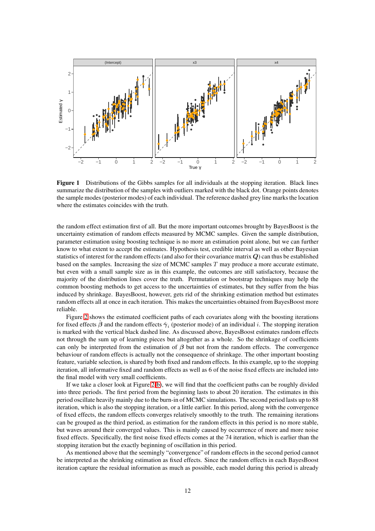<span id="page-11-0"></span>

Figure 1 Distributions of the Gibbs samples for all individuals at the stopping iteration. Black lines summarize the distribution of the samples with outliers marked with the black dot. Orange points denotes the sample modes (posterior modes) of each individual. The reference dashed grey line marks the location where the estimates coincides with the truth.

the random effect estimation first of all. But the more important outcomes brought by BayesBoost is the uncertainty estimation of random effects measured by MCMC samples. Given the sample distribution, parameter estimation using boosting technique is no more an estimation point alone, but we can further know to what extent to accept the estimates. Hypothesis test, credible interval as well as other Bayesian statistics of interest for the random effects (and also for their covariance matrix Q) can thus be established based on the samples. Increasing the size of MCMC samples  $T$  may produce a more accurate estimate, but even with a small sample size as in this example, the outcomes are still satisfactory, because the majority of the distribution lines cover the truth. Permutation or bootstrap techniques may help the common boosting methods to get access to the uncertainties of estimates, but they suffer from the bias induced by shrinkage. BayesBoost, however, gets rid of the shrinking estimation method but estimates random effects all at once in each iteration. This makes the uncertainties obtained from BayesBoost more reliable.

Figure [2](#page-12-0) shows the estimated coefficient paths of each covariates along with the boosting iterations for fixed effects  $\hat{\beta}$  and the random effects  $\hat{\gamma}_i$  (posterior mode) of an individual i. The stopping iteration is marked with the vertical black dashed line. As discussed above, BayesBoost estimates random effects not through the sum up of learning pieces but altogether as a whole. So the shrinkage of coefficients can only be interpreted from the estimation of  $\beta$  but not from the random effects. The convergence behaviour of random effects is actually not the consequence of shrinkage. The other important boosting feature, variable selection, is shared by both fixed and random effects. In this example, up to the stopping iteration, all informative fixed and random effects as well as 6 of the noise fixed effects are included into the final model with very small coefficients.

If we take a closer look at Figure [2\(b\)](#page-12-0), we will find that the coefficient paths can be roughly divided into three periods. The first period from the beginning lasts to about 20 iteration. The estimates in this period oscillate heavily mainly due to the burn-in of MCMC simulations. The second period lasts up to 88 iteration, which is also the stopping iteration, or a little earlier. In this period, along with the convergence of fixed effects, the random effects converges relatively smoothly to the truth. The remaining iterations can be grouped as the third period, as estimation for the random effects in this period is no more stable, but waves around their converged values. This is mainly caused by occurrence of more and more noise fixed effects. Specifically, the first noise fixed effects comes at the 74 iteration, which is earlier than the stopping iteration but the exactly beginning of oscillation in this period.

As mentioned above that the seemingly "convergence" of random effects in the second period cannot be interpreted as the shrinking estimation as fixed effects. Since the random effects in each BayesBoost iteration capture the residual information as much as possible, each model during this period is already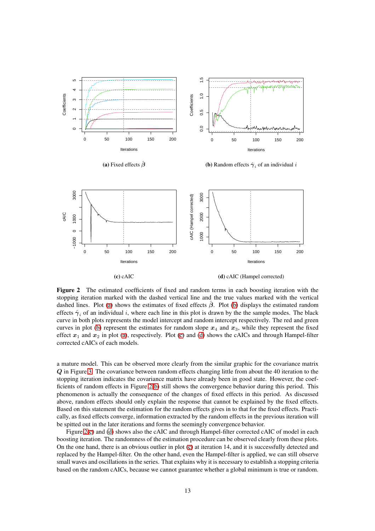<span id="page-12-0"></span>

Figure 2 The estimated coefficients of fixed and random terms in each boosting iteration with the stopping iteration marked with the dashed vertical line and the true values marked with the vertical dashed lines. Plot [\(a\)](#page-12-0) shows the estimates of fixed effects  $\beta$ . Plot [\(b\)](#page-12-0) displays the estimated random effects  $\hat{\gamma}_i$  of an individual i, where each line in this plot is drawn by the the sample modes. The black curve in both plots represents the model intercept and random intercept respectively. The red and green curves in plot [\(b\)](#page-12-0) represent the estimates for random slope  $x_4$  and  $x_3$ , while they represent the fixed effect  $x_1$  and  $x_2$  in plot [\(a\)](#page-12-0), respectively. Plot [\(c\)](#page-12-0) and [\(d\)](#page-12-0) shows the cAICs and through Hampel-filter corrected cAICs of each models.

a mature model. This can be observed more clearly from the similar graphic for the covariance matrix Q in Figure [3.](#page-13-1) The covariance between random effects changing little from about the 40 iteration to the stopping iteration indicates the covariance matrix have already been in good state. However, the coefficients of random effects in Figure [2\(b\)](#page-12-0) still shows the convergence behavior during this period. This phenomenon is actually the consequence of the changes of fixed effects in this period. As discussed above, random effects should only explain the response that cannot be explained by the fixed effects. Based on this statement the estimation for the random effects gives in to that for the fixed effects. Practically, as fixed effects converge, information extracted by the random effects in the previous iteration will be spitted out in the later iterations and forms the seemingly convergence behavior.

Figure [2\(c\)](#page-12-0) and [\(d\)](#page-12-0) shows also the cAIC and through Hampel-filter corrected cAIC of model in each boosting iteration. The randomness of the estimation procedure can be observed clearly from these plots. On the one hand, there is an obvious outlier in plot [\(c\)](#page-12-0) at iteration 14, and it is successfully detected and replaced by the Hampel-filter. On the other hand, even the Hampel-filter is applied, we can still observe small waves and oscillations in the series. That explains why it is necessary to establish a stopping criteria based on the random cAICs, because we cannot guarantee whether a global minimum is true or random.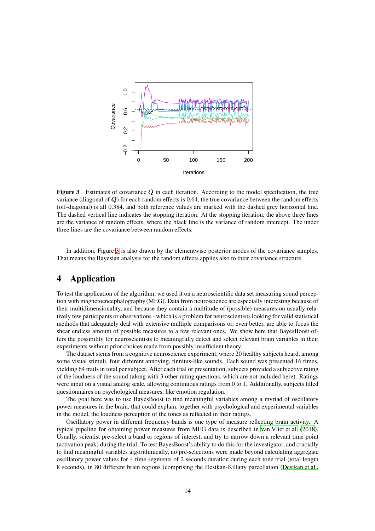<span id="page-13-1"></span>

Figure 3 Estimates of covariance Q in each iteration. According to the model specification, the true variance (diagonal of  $Q$ ) for each random effects is 0.64, the true covariance between the random effects (off-diagonal) is all 0.384, and both reference values are marked with the dashed grey horizontal line. The dashed vertical line indicates the stopping iteration. At the stopping iteration, the above three lines are the variance of random effects, where the black line is the variance of random intercept. The under three lines are the covariance between random effects.

In addition, Figure [3](#page-13-1) is also drawn by the elementwise posterior modes of the covariance samples. That means the Bayesian analysis for the random effects applies also to their covariance structure.

# <span id="page-13-0"></span>4 Application

To test the application of the algorithm, we used it on a neuroscientific data set measuring sound perception with magnetoencephalography (MEG). Data from neuroscience are especially interesting because of their multidimensionality, and because they contain a multitude of (possible) measures on usually relatively few participants or observations - which is a problem for neuroscientists looking for valid statistical methods that adequately deal with extensive multiple comparisons or, even better, are able to focus the shear endless amount of possible measures to a few relevant ones. We show here that BayesBoost offers the possibility for neuroscientists to meaningfully detect and select relevant brain variables in their experiments without prior choices made from possibly insufficient theory.

The dataset stems from a cognitive neuroscience experiment, where 20 healthy subjects heard, among some visual stimuli, four different annoying, tinnitus-like sounds. Each sound was presented 16 times, yielding 64 trails in total per subject. After each trial or presentation, subjects provided a subjective rating of the loudness of the sound (along with 3 other rating questions, which are not included here). Ratings were input on a visual analog scale, allowing continuous ratings from 0 to 1. Additionally, subjects filled questionnaires on psychological measures, like emotion regulation.

The goal here was to use BayesBoost to find meaningful variables among a myriad of oscillatory power measures in the brain, that could explain, together with psychological and experimental variables in the model, the loudness perception of the tones as reflected in their ratings.

Oscillatory power in different frequency bands is one type of measure reflecting brain activity. A typical pipeline for obtaining power measures from MEG data is described in [van Vliet et al.](#page-18-7) [\(2018\)](#page-18-7). Usually, scientist pre-select a band or regions of interest, and try to narrow down a relevant time point (activation peak) during the trial. To test BayesBoost's ability to do this for the investigator, and crucially to find meaningful variables algorithmically, no pre-selections were made beyond calculating aggregate oscillatory power values for 4 time segments of 2 seconds duration during each tone trial (total length 8 seconds), in 80 different brain regions (comprising the Desikan-Killany parcellation [\(Desikan et al.,](#page-16-3)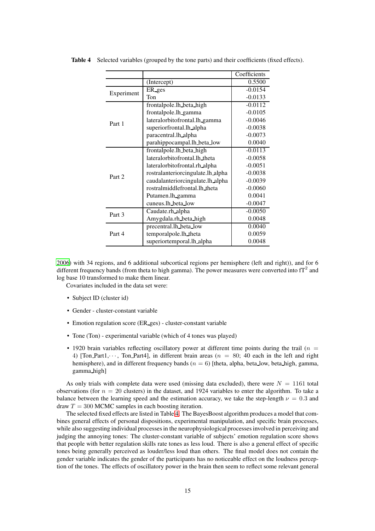|            |                                   | Coefficients |
|------------|-----------------------------------|--------------|
|            | (Intercept)                       | 0.5500       |
|            | ER ges                            | $-0.0154$    |
| Experiment | Ton                               | $-0.0133$    |
|            | frontalpole.lh_beta_high          | $-0.0112$    |
|            | frontalpole.lh_gamma              | $-0.0105$    |
| Part 1     | lateralorbitofrontal.lh_gamma     | $-0.0046$    |
|            | superiorfrontal.lh_alpha          | $-0.0038$    |
|            | paracentral.lh_alpha              | $-0.0073$    |
|            | parahippocampal.lh beta_low       | 0.0040       |
|            | frontalpole.lh_beta_high          | $-0.0113$    |
|            | lateralorbitofrontal.lh theta     | $-0.0058$    |
|            | lateralorbitofrontal.rh_alpha     | $-0.0051$    |
| Part 2     | rostralanteriorcingulate.lh_alpha | $-0.0038$    |
|            | caudalanteriorcingulate.lh_alpha  | $-0.0039$    |
|            | rostralmiddlefrontal.lh_theta     | $-0.0060$    |
|            | Putamen.lh_gamma                  | 0.0041       |
|            | cuneus.lh_beta_low                | $-0.0047$    |
| Part 3     | Caudate.rh_alpha                  | $-0.0050$    |
|            | Amygdala.rh_beta_high             | 0.0048       |
|            | precentral.lh_beta_low            | 0.0040       |
| Part 4     | temporalpole.lh_theta             | 0.0059       |
|            | superiortemporal.lh_alpha         | 0.0048       |

<span id="page-14-0"></span>Table 4 Selected variables (grouped by the tone parts) and their coefficients (fixed effects).

[2006\)](#page-16-3) with 34 regions, and 6 additional subcortical regions per hemisphere (left and right)), and for 6 different frequency bands (from theta to high gamma). The power measures were converted into fT<sup>2</sup> and log base 10 transformed to make them linear.

Covariates included in the data set were:

- Subject ID (cluster id)
- Gender cluster-constant variable
- Emotion regulation score (ER ges) cluster-constant variable
- Tone (Ton) experimental variable (which of 4 tones was played)
- 1920 brain variables reflecting oscillatory power at different time points during the trail ( $n =$ 4) [Ton Part1, $\cdots$ , Ton Part4], in different brain areas ( $n = 80$ ; 40 each in the left and right hemisphere), and in different frequency bands ( $n = 6$ ) [theta, alpha, beta\_low, beta\_high, gamma, gamma high]

As only trials with complete data were used (missing data excluded), there were  $N = 1161$  total observations (for  $n = 20$  clusters) in the dataset, and 1924 variables to enter the algorithm. To take a balance between the learning speed and the estimation accuracy, we take the step-length  $\nu = 0.3$  and draw  $T = 300$  MCMC samples in each boosting iteration.

The selected fixed effects are listed in Table [4.](#page-14-0) The BayesBoost algorithm produces a model that combines general effects of personal dispositions, experimental manipulation, and specific brain processes, while also suggesting individual processes in the neurophysiological processes involved in perceiving and judging the annoying tones: The cluster-constant variable of subjects' emotion regulation score shows that people with better regulation skills rate tones as less loud. There is also a general effect of specific tones being generally perceived as louder/less loud than others. The final model does not contain the gender variable indicates the gender of the participants has no noticeable effect on the loudness perception of the tones. The effects of oscillatory power in the brain then seem to reflect some relevant general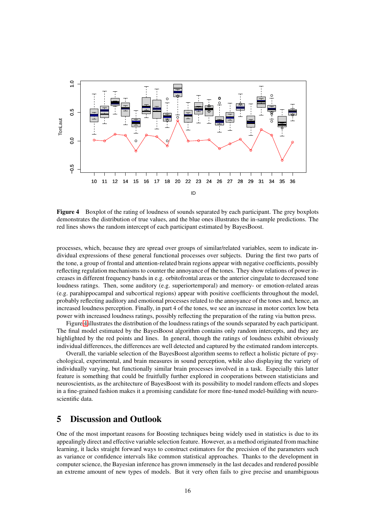<span id="page-15-1"></span>

Figure 4 Boxplot of the rating of loudness of sounds separated by each participant. The grey boxplots demonstrates the distribution of true values, and the blue ones illustrates the in-sample predictions. The red lines shows the random intercept of each participant estimated by BayesBoost.

processes, which, because they are spread over groups of similar/related variables, seem to indicate individual expressions of these general functional processes over subjects. During the first two parts of the tone, a group of frontal and attention-related brain regions appear with negative coefficients, possibly reflecting regulation mechanisms to counter the annoyance of the tones. They show relations of power increases in different frequency bands in e.g. orbitofrontal areas or the anterior cingulate to decreased tone loudness ratings. Then, some auditory (e.g. superiortemporal) and memory- or emotion-related areas (e.g. parahippocampal and subcortical regions) appear with positive coefficients throughout the model, probably reflecting auditory and emotional processes related to the annoyance of the tones and, hence, an increased loudness perception. Finally, in part 4 of the tones, we see an increase in motor cortex low beta power with increased loudness ratings, possibly reflecting the preparation of the rating via button press.

Figure [4](#page-15-1) illustrates the distribution of the loudness ratings of the sounds separated by each participant. The final model estimated by the BayesBoost algorithm contains only random intercepts, and they are highlighted by the red points and lines. In general, though the ratings of loudness exhibit obviously individual differences, the differences are well detected and captured by the estimated random intercepts.

Overall, the variable selection of the BayesBoost algorithm seems to reflect a holistic picture of psychological, experimental, and brain measures in sound perception, while also displaying the variety of individually varying, but functionally similar brain processes involved in a task. Especially this latter feature is something that could be fruitfully further explored in cooperations between statisticians and neuroscientists, as the architecture of BayesBoost with its possibility to model random effects and slopes in a fine-grained fashion makes it a promising candidate for more fine-tuned model-building with neuroscientific data.

# <span id="page-15-0"></span>5 Discussion and Outlook

One of the most important reasons for Boosting techniques being widely used in statistics is due to its appealingly direct and effective variable selection feature. However, as a method originated from machine learning, it lacks straight forward ways to construct estimators for the precision of the parameters such as variance or confidence intervals like common statistical approaches. Thanks to the development in computer science, the Bayesian inference has grown immensely in the last decades and rendered possible an extreme amount of new types of models. But it very often fails to give precise and unambiguous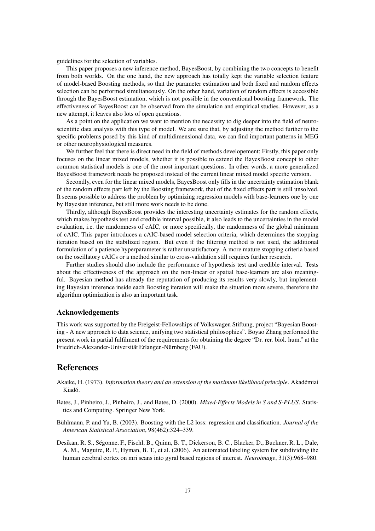guidelines for the selection of variables.

This paper proposes a new inference method, BayesBoost, by combining the two concepts to benefit from both worlds. On the one hand, the new approach has totally kept the variable selection feature of model-based Boosting methods, so that the parameter estimation and both fixed and random effects selection can be performed simultaneously. On the other hand, variation of random effects is accessible through the BayesBoost estimation, which is not possible in the conventional boosting framework. The effectiveness of BayesBoost can be observed from the simulation and empirical studies. However, as a new attempt, it leaves also lots of open questions.

As a point on the application we want to mention the necessity to dig deeper into the field of neuroscientific data analysis with this type of model. We are sure that, by adjusting the method further to the specific problems posed by this kind of multidimensional data, we can find important patterns in MEG or other neurophysiological measures.

We further feel that there is direct need in the field of methods developement: Firstly, this paper only focuses on the linear mixed models, whether it is possible to extend the BayesBoost concept to other common statistical models is one of the most important questions. In other words, a more generalized BayesBoost framework needs be proposed instead of the current linear mixed model specific version.

Secondly, even for the linear mixed models, BayesBoost only fills in the uncertainty estimation blank of the random effects part left by the Boosting framework, that of the fixed effects part is still unsolved. It seems possible to address the problem by optimizing regression models with base-learners one by one by Bayesian inference, but still more work needs to be done.

Thirdly, although BayesBoost provides the interesting uncertainty estimates for the random effects, which makes hypothesis test and credible interval possible, it also leads to the uncertainties in the model evaluation, i.e. the randomness of cAIC, or more specifically, the randomness of the global minimum of cAIC. This paper introduces a cAIC-based model selection criteria, which determines the stopping iteration based on the stabilized region. But even if the filtering method is not used, the additional formulation of a patience hyperparameter is rather unsatisfactory. A more mature stopping criteria based on the oscillatory cAICs or a method similar to cross-validation still requires further research.

Further studies should also include the performance of hypothesis test and credible interval. Tests about the effectiveness of the approach on the non-linear or spatial base-learners are also meaningful. Bayesian method has already the reputation of producing its results very slowly, but implementing Bayesian inference inside each Boosting iteration will make the situation more severe, therefore the algorithm optimization is also an important task.

#### Acknowledgements

This work was supported by the Freigeist-Fellowships of Volkswagen Stiftung, project "Bayesian Boosting - A new approach to data science, unifying two statistical philosophies". Boyao Zhang performed the present work in partial fulfilment of the requirements for obtaining the degree "Dr. rer. biol. hum." at the Friedrich-Alexander-Universität Erlangen-Nürnberg (FAU).

## **References**

- <span id="page-16-2"></span>Akaike, H. (1973). *Information theory and an extension of the maximum likelihood principle*. Akadémiai Kiadó.
- <span id="page-16-0"></span>Bates, J., Pinheiro, J., Pinheiro, J., and Bates, D. (2000). *Mixed-Effects Models in S and S-PLUS*. Statistics and Computing. Springer New York.
- <span id="page-16-1"></span>Bühlmann, P. and Yu, B. (2003). Boosting with the L2 loss: regression and classification. *Journal of the American Statistical Association*, 98(462):324–339.
- <span id="page-16-3"></span>Desikan, R. S., Ségonne, F., Fischl, B., Quinn, B. T., Dickerson, B. C., Blacker, D., Buckner, R. L., Dale, A. M., Maguire, R. P., Hyman, B. T., et al. (2006). An automated labeling system for subdividing the human cerebral cortex on mri scans into gyral based regions of interest. *Neuroimage*, 31(3):968–980.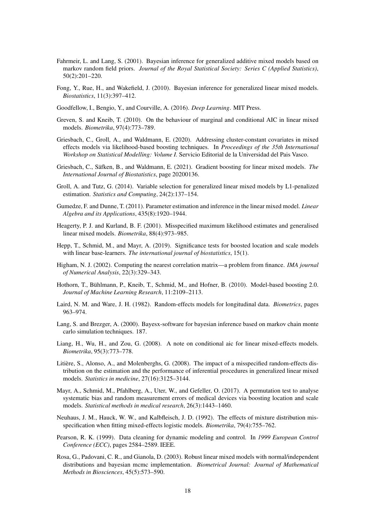- <span id="page-17-7"></span>Fahrmeir, L. and Lang, S. (2001). Bayesian inference for generalized additive mixed models based on markov random field priors. *Journal of the Royal Statistical Society: Series C (Applied Statistics)*, 50(2):201–220.
- <span id="page-17-3"></span>Fong, Y., Rue, H., and Wakefield, J. (2010). Bayesian inference for generalized linear mixed models. *Biostatistics*, 11(3):397–412.
- <span id="page-17-18"></span>Goodfellow, I., Bengio, Y., and Courville, A. (2016). *Deep Learning*. MIT Press.
- <span id="page-17-14"></span>Greven, S. and Kneib, T. (2010). On the behaviour of marginal and conditional AIC in linear mixed models. *Biometrika*, 97(4):773–789.
- <span id="page-17-11"></span>Griesbach, C., Groll, A., and Waldmann, E. (2020). Addressing cluster-constant covariates in mixed effects models via likelihood-based boosting techniques. In *Proceedings of the 35th International Workshop on Statistical Modelling: Volume I.* Servicio Editorial de la Universidad del Pais Vasco.
- <span id="page-17-12"></span>Griesbach, C., Säfken, B., and Waldmann, E. (2021). Gradient boosting for linear mixed models. *The International Journal of Biostatistics*, page 20200136.
- <span id="page-17-2"></span>Groll, A. and Tutz, G. (2014). Variable selection for generalized linear mixed models by L1-penalized estimation. *Statistics and Computing*, 24(2):137–154.
- <span id="page-17-1"></span>Gumedze, F. and Dunne, T. (2011). Parameter estimation and inference in the linear mixed model. *Linear Algebra and its Applications*, 435(8):1920–1944.
- <span id="page-17-5"></span>Heagerty, P. J. and Kurland, B. F. (2001). Misspecified maximum likelihood estimates and generalised linear mixed models. *Biometrika*, 88(4):973–985.
- <span id="page-17-15"></span>Hepp, T., Schmid, M., and Mayr, A. (2019). Significance tests for boosted location and scale models with linear base-learners. *The international journal of biostatistics*, 15(1).
- <span id="page-17-19"></span>Higham, N. J. (2002). Computing the nearest correlation matrix—a problem from finance. *IMA journal of Numerical Analysis*, 22(3):329–343.
- <span id="page-17-10"></span>Hothorn, T., Bühlmann, P., Kneib, T., Schmid, M., and Hofner, B. (2010). Model-based boosting 2.0. *Journal of Machine Learning Research*, 11:2109–2113.
- <span id="page-17-0"></span>Laird, N. M. and Ware, J. H. (1982). Random-effects models for longitudinal data. *Biometrics*, pages 963–974.
- <span id="page-17-9"></span>Lang, S. and Brezger, A. (2000). Bayesx-software for bayesian inference based on markov chain monte carlo simulation techniques. 187.
- <span id="page-17-13"></span>Liang, H., Wu, H., and Zou, G. (2008). A note on conditional aic for linear mixed-effects models. *Biometrika*, 95(3):773–778.
- <span id="page-17-6"></span>Litière, S., Alonso, A., and Molenberghs, G. (2008). The impact of a misspecified random-effects distribution on the estimation and the performance of inferential procedures in generalized linear mixed models. *Statistics in medicine*, 27(16):3125–3144.
- <span id="page-17-16"></span>Mayr, A., Schmid, M., Pfahlberg, A., Uter, W., and Gefeller, O. (2017). A permutation test to analyse systematic bias and random measurement errors of medical devices via boosting location and scale models. *Statistical methods in medical research*, 26(3):1443–1460.
- <span id="page-17-4"></span>Neuhaus, J. M., Hauck, W. W., and Kalbfleisch, J. D. (1992). The effects of mixture distribution misspecification when fitting mixed-effects logistic models. *Biometrika*, 79(4):755–762.
- <span id="page-17-17"></span>Pearson, R. K. (1999). Data cleaning for dynamic modeling and control. In *1999 European Control Conference (ECC)*, pages 2584–2589. IEEE.
- <span id="page-17-8"></span>Rosa, G., Padovani, C. R., and Gianola, D. (2003). Robust linear mixed models with normal/independent distributions and bayesian mcmc implementation. *Biometrical Journal: Journal of Mathematical Methods in Biosciences*, 45(5):573–590.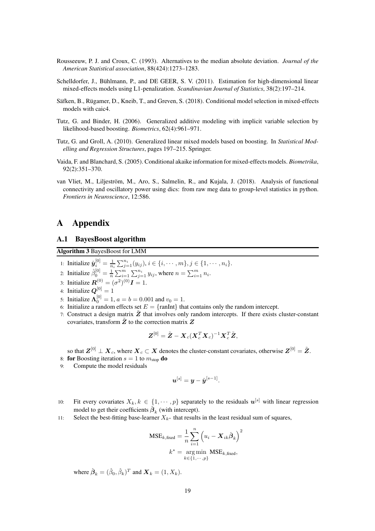- <span id="page-18-5"></span>Rousseeuw, P. J. and Croux, C. (1993). Alternatives to the median absolute deviation. *Journal of the American Statistical association*, 88(424):1273–1283.
- <span id="page-18-0"></span>Schelldorfer, J., Bühlmann, P., and DE GEER, S. V. (2011). Estimation for high-dimensional linear mixed-effects models using L1-penalization. *Scandinavian Journal of Statistics*, 38(2):197–214.
- <span id="page-18-4"></span>Säfken, B., Rügamer, D., Kneib, T., and Greven, S. (2018). Conditional model selection in mixed-effects models with caic4.
- <span id="page-18-2"></span>Tutz, G. and Binder, H. (2006). Generalized additive modeling with implicit variable selection by likelihood-based boosting. *Biometrics*, 62(4):961–971.
- <span id="page-18-1"></span>Tutz, G. and Groll, A. (2010). Generalized linear mixed models based on boosting. In *Statistical Modelling and Regression Structures*, pages 197–215. Springer.
- <span id="page-18-3"></span>Vaida, F. and Blanchard, S. (2005). Conditional akaike information for mixed-effects models. *Biometrika*, 92(2):351–370.
- <span id="page-18-7"></span>van Vliet, M., Liljeström, M., Aro, S., Salmelin, R., and Kujala, J. (2018). Analysis of functional connectivity and oscillatory power using dics: from raw meg data to group-level statistics in python. *Frontiers in Neuroscience*, 12:586.

## A Appendix

## <span id="page-18-6"></span>A.1 BayesBoost algorithm

Algorithm 3 BayesBoost for LMM

- 1: Initialize  $\hat{\bm{y}}_i^{[0]} = \frac{1}{n_i} \sum_{j=1}^{n_i} (y_{ij}), i \in \{i, \cdots, m\}, j \in \{1, \cdots, n_i\}.$
- 2: Initialize  $\hat{\beta}_0^{[0]} = \frac{1}{n} \sum_{i=1}^m \sum_{j=1}^{n_i} y_{ij}$ , where  $n = \sum_{i=1}^m n_i$ .
- 3: Initialize  $\mathbf{R}^{(0)} = (\sigma^2)^{(0)} \mathbf{I} = 1$ .
- 4: Initialize  $\mathbf{Q}^{[0]} = 1$
- 5: Initialize  $\Lambda_0^{[0]} = 1, a = b = 0.001$  and  $v_0 = 1$ .
- 6: Initialize a random effects set  $E = \{ \text{ranInt} \}$  that contains only the random intercept.
- 7: Construct a design matrix  $\tilde{Z}$  that involves only random intercepts. If there exists cluster-constant covariates, transform  $\tilde{Z}$  to the correction matrix  $Z$

$$
\boldsymbol{Z}^{[0]} = \tilde{\boldsymbol{Z}} - \boldsymbol{X}_c(\boldsymbol{X}_c^T\boldsymbol{X}_c)^{-1}\boldsymbol{X}_c^T\tilde{\boldsymbol{Z}},
$$

so that  $Z^{[0]} \perp X_c,$  where  $X_c \subset X$  denotes the cluster-constant covariates, otherwise  $Z^{[0]} = \tilde{Z}.$ 

- 8: for Boosting iteration  $s = 1$  to  $m_{\text{stop}}$  do
- 9: Compute the model residuals

$$
\boldsymbol{u}^{[s]} = \boldsymbol{y} - \hat{\boldsymbol{y}}^{[s-1]}.
$$

- 10: Fit every covariates  $X_k, k \in \{1, \dots, p\}$  separately to the residuals  $\mathbf{u}^{[s]}$  with linear regression model to get their coefficients  $\hat{\boldsymbol{\beta}}_k$  (with intercept).
- 11: Select the best-fitting base-learner  $X_{k^*}$  that results in the least residual sum of squares,

$$
\text{MSE}_{k,\text{fixed}} = \frac{1}{n} \sum_{i=1}^{n} \left( u_i - \mathbf{X}_{ik} \hat{\boldsymbol{\beta}}_k \right)^2
$$

$$
k^* = \underset{k \in \{1, \cdots, p\}}{\text{arg min}} \text{MSE}_{k,\text{fixed}},
$$

where  $\hat{\boldsymbol{\beta}}_k = (\hat{\beta}_0, \hat{\beta}_k)^T$  and  $\boldsymbol{X}_k = (1, X_k)$ .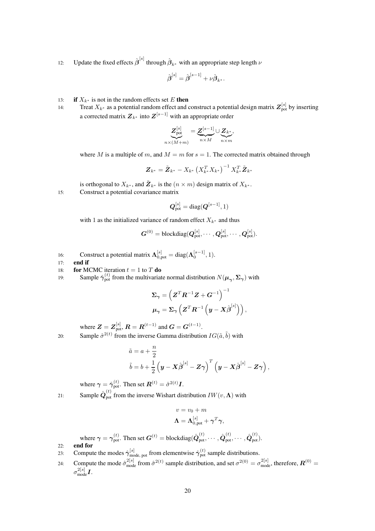12: Update the fixed effects  $\hat{\beta}^{[s]}$  through  $\hat{\beta}_{k^*}$  with an appropriate step length  $\nu$ 

$$
\hat{\boldsymbol{\beta}}^{[s]} = \hat{\boldsymbol{\beta}}^{[s-1]} + \nu \hat{\boldsymbol{\beta}}_{k^*}.
$$

- 13: **if**  $X_{k^*}$  is not in the random effects set E **then**
- 14: Treat  $X_{k^*}$  as a potential random effect and construct a potential design matrix  $\mathbf{Z}_{\text{pot}}^{[s]}$  by inserting a corrected matrix  $\boldsymbol{Z}_{k^*}$  into  $\boldsymbol{Z}^{[s-1]}$  with an appropriate order

$$
\underbrace{Z^{[s]}_\text{pot}}_{n\times (M+m)}=\underbrace{Z^{[s-1]}}_{n\times M}\cup \underbrace{Z_{k^*}}_{n\times m},
$$

where M is a multiple of m, and  $M = m$  for  $s = 1$ . The corrected matrix obtained through

$$
\boldsymbol{Z}_{k^*} = \tilde{\boldsymbol{Z}}_{k^*} - X_{k^*} \left( X_{k^*}^T X_{k^*} \right)^{-1} X_{k^*}^T \tilde{\boldsymbol{Z}}_{k^*}
$$

is orthogonal to  $X_{k^*}$ , and  $\tilde{\mathbf{Z}}_{k^*}$  is the  $(n \times m)$  design matrix of  $X_{k^*}$ . 15: Construct a potential covariance matrix

$$
\boldsymbol{Q}_{\mathrm{pot}}^{[s]} = \mathrm{diag}(\boldsymbol{Q}^{[s-1]},1)
$$

with 1 as the initialized variance of random effect  $X_{k^*}$  and thus

$$
\boldsymbol{G}^{(0)}=\text{blockdiag}(\boldsymbol{Q}_{\text{pot}}^{[s]},\cdots,\boldsymbol{Q}_{\text{pot}}^{[s]},\cdots,\boldsymbol{Q}_{\text{pot}}^{[s]}).
$$

16: Construct a potential matrix  $\Lambda_{0,pot}^{[s]} = \text{diag}(\Lambda_0^{[s-1]}, 1)$ .

17: end if

18: **for** MCMC iteration  $t = 1$  to T **do** 

19: Sample  $\hat{\gamma}_{pot}^{(t)}$  from the multivariate normal distribution  $N(\mu_{\gamma}, \Sigma_{\gamma})$  with

$$
\begin{aligned} \boldsymbol{\Sigma}_{\boldsymbol{\gamma}} &= \left( \boldsymbol{Z}^T \boldsymbol{R}^{-1} \boldsymbol{Z} + \boldsymbol{G}^{-1} \right)^{-1} \\ \boldsymbol{\mu}_{\boldsymbol{\gamma}} &= \boldsymbol{\Sigma}_{\boldsymbol{\gamma}} \left( \boldsymbol{Z}^T \boldsymbol{R}^{-1} \left( \boldsymbol{y} - \boldsymbol{X} \hat{\boldsymbol{\beta}}^{[s]} \right) \right), \end{aligned}
$$

where  $Z = Z_{\text{pot}}^{[s]}$ ,  $R = R^{(t-1)}$  and  $G = G^{(t-1)}$ . 20: Sample  $\hat{\sigma}^{2(t)}$  from the inverse Gamma distribution  $IG(\tilde{a}, \tilde{b})$  with

$$
\begin{aligned}\n\tilde{a} &= a + \frac{n}{2} \\
\tilde{b} &= b + \frac{1}{2} \left( \mathbf{y} - \mathbf{X} \hat{\boldsymbol{\beta}}^{[s]} - \mathbf{Z} \boldsymbol{\gamma} \right)^T \left( \mathbf{y} - \mathbf{X} \hat{\boldsymbol{\beta}}^{[s]} - \mathbf{Z} \boldsymbol{\gamma} \right),\n\end{aligned}
$$

where  $\boldsymbol{\gamma}=\hat{\boldsymbol{\gamma}}_{\rm pot}^{(t)}.$  Then set  $\boldsymbol{R}^{(t)}=\hat{\sigma}^{2(t)}\boldsymbol{I}.$ 21: Sample  $\hat{\mathbf{Q}}_{pot}^{(t)}$  from the inverse Wishart distribution  $IW(v, \Lambda)$  with

$$
v = v_0 + m
$$

$$
\Lambda = \Lambda_{0, \text{pot}}^{[s]} + \gamma^T \gamma,
$$

where  $\gamma = \gamma_{\text{pot}}^{(t)}$ . Then set  $\boldsymbol{G}^{(t)} = \text{blockdiag}(\hat{\boldsymbol{Q}}_{\text{pot}}^{(t)}, \cdots, \hat{\boldsymbol{Q}}_{\text{pot}}^{(t)}, \cdots, \hat{\boldsymbol{Q}}_{\text{pot}}^{(t)})$ . 22: end for

- 23: Compute the modes  $\hat{\gamma}_{\text{mode, pot}}^{[s]}$  from elementwise  $\hat{\gamma}_{\text{pot}}^{(t)}$  sample distributions.
- 24: Compute the mode  $\hat{\sigma}_{\text{mode}}^{2[s]}$  from  $\hat{\sigma}^{2(t)}$  sample distribution, and set  $\sigma^{2(0)} = \sigma_{\text{mode}}^{2[s]}$ , therefore,  $\mathbf{R}^{(0)} =$  $\sigma_{\rm mode}^{2[s]} I.$